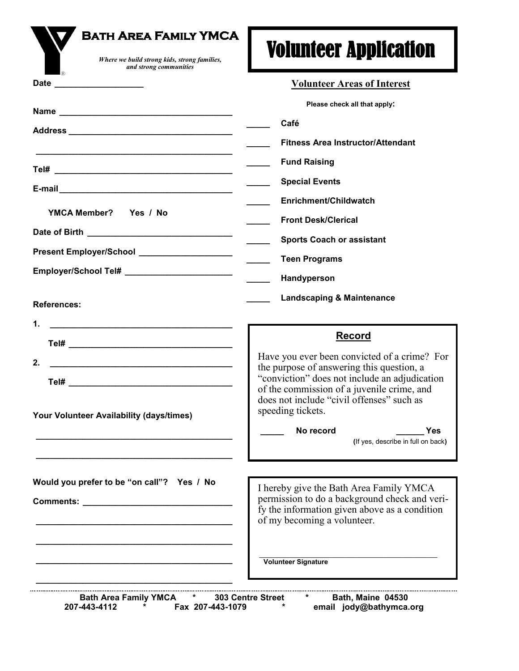| <b>BATH AREA FAMILY YMCA</b><br>Where we build strong kids, strong families,<br>and strong communities                     | <b>Volunteer Application</b>                                                              |
|----------------------------------------------------------------------------------------------------------------------------|-------------------------------------------------------------------------------------------|
|                                                                                                                            | <b>Volunteer Areas of Interest</b>                                                        |
|                                                                                                                            | Please check all that apply:                                                              |
|                                                                                                                            | Café                                                                                      |
|                                                                                                                            | <b>Fitness Area Instructor/Attendant</b>                                                  |
|                                                                                                                            | <b>Fund Raising</b>                                                                       |
| E-mail 2008 2009 2010 2020 2021 2021 2022 2022 2023 2024 2022 2022 2023 2024 2022 2023 2024 2022 2023 2024 20              | <b>Special Events</b>                                                                     |
|                                                                                                                            | Enrichment/Childwatch                                                                     |
| YMCA Member? Yes / No                                                                                                      | <b>Front Desk/Clerical</b>                                                                |
| Date of Birth <b>Exercise 2018</b>                                                                                         | <b>Sports Coach or assistant</b>                                                          |
| Present Employer/School Network and Separate Burguette                                                                     | <b>Teen Programs</b>                                                                      |
| Employer/School Tel# __________________________                                                                            | Handyperson                                                                               |
| <b>References:</b>                                                                                                         | <b>Landscaping &amp; Maintenance</b>                                                      |
| 1.<br><u> 1989 - Johann John Stone, mars eta bat eta bat eta bat eta bat eta bat eta bat eta bat eta bat eta bat eta b</u> |                                                                                           |
|                                                                                                                            | <b>Record</b>                                                                             |
| 2.                                                                                                                         | Have you ever been convicted of a crime? For<br>the purpose of answering this question, a |
|                                                                                                                            | "conviction" does not include an adjudication                                             |
|                                                                                                                            | of the commission of a juvenile crime, and<br>does not include "civil offenses" such as   |
| Your Volunteer Availability (days/times)                                                                                   | speeding tickets.                                                                         |
|                                                                                                                            | No record<br>Yes<br>(If yes, describe in full on back)                                    |
|                                                                                                                            |                                                                                           |
|                                                                                                                            |                                                                                           |
| Would you prefer to be "on call"? Yes / No                                                                                 | I hereby give the Bath Area Family YMCA<br>permission to do a background check and veri-  |
|                                                                                                                            | fy the information given above as a condition                                             |
|                                                                                                                            | of my becoming a volunteer.                                                               |
|                                                                                                                            |                                                                                           |
|                                                                                                                            | <b>Volunteer Signature</b>                                                                |